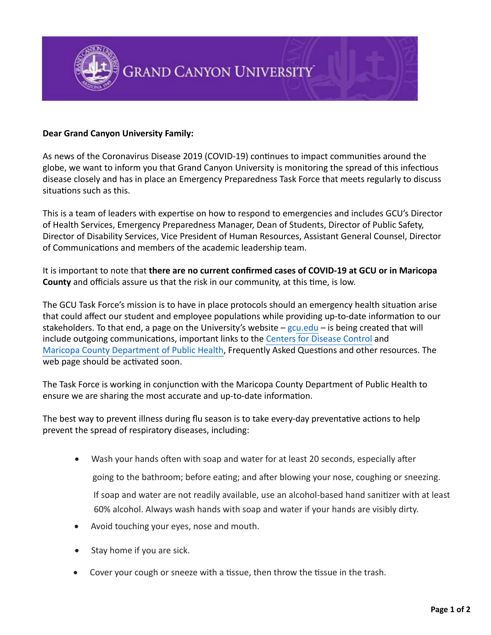

## **Dear Grand Canyon University Family:**

As news of the Coronavirus Disease 2019 (COVID-19) continues to impact communities around the globe, we want to inform you that Grand Canyon University is monitoring the spread of this infectious disease closely and has in place an Emergency Preparedness Task Force that meets regularly to discuss situations such as this.

This is a team of leaders with expertise on how to respond to emergencies and includes GCU's Director of Health Services, Emergency Preparedness Manager, Dean of Students, Director of Public Safety, Director of Disability Services, Vice President of Human Resources, Assistant General Counsel, Director of Communications and members of the academic leadership team.

It is important to note that **there are no current confirmed cases of COVID-19 at GCU or in Maricopa County** and officials assure us that the risk in our community, at this time, is low.

The GCU Task Force's mission is to have in place protocols should an emergency health situation arise that could affect our student and employee populations while providing up-to-date information to our stakeholders. To that end, a page on the University's website  $-gcu.edu -gcu.edu -gcu.edu -$  is being created that will include outgoing communications, important links to the [Centers for Disease Control](https://www.cdc.gov/) and [Maricopa County Department of Public Health,](https://www.maricopa.gov/5460/Novel-Coronavirus) Frequently Asked Questions and other resources. The web page should be activated soon.

The Task Force is working in conjunction with the Maricopa County Department of Public Health to ensure we are sharing the most accurate and up-to-date information.

The best way to prevent illness during flu season is to take every-day preventative actions to help prevent the spread of respiratory diseases, including:

Wash your hands often with soap and water for at least 20 seconds, especially after

going to the bathroom; before eating; and after blowing your nose, coughing or sneezing.

If soap and water are not readily available, use an alcohol-based hand sanitizer with at least 60% alcohol. Always wash hands with soap and water if your hands are visibly dirty.

- Avoid touching your eyes, nose and mouth.
- Stay home if you are sick.
- Cover your cough or sneeze with a tissue, then throw the tissue in the trash.